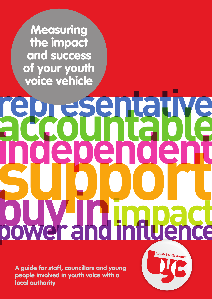Measuring the impact and success of your youth voice vehicle

## **representative impact accountable independent supported buy in power and influence**

A guide for staff, councillors and young people involved in youth voice with a local authority

British Youth Council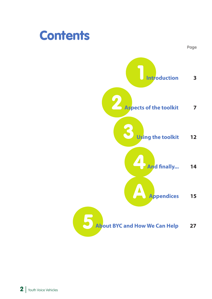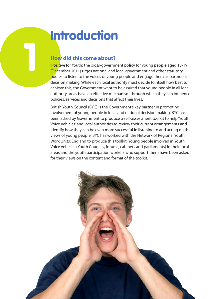## **Introduction**

#### **How did this come about?**

1

'Positive for Youth', the cross-government policy for young people aged 13-19 (December 2011) urges national and local government and other statutory bodies to listen to the voices of young people and engage them as partners in decision making. While each local authority must decide for itself how best to achieve this, the Government want to be assured that young people in all local authority areas have an effective mechanism through which they can influence policies, services and decisions that affect their lives.

British Youth Council (BYC) is the Government's key partner in promoting involvement of young people in local and national decision making. BYC has been asked by Government to produce a self-assessment toolkit to help 'Youth Voice Vehicles' and local authorities to review their current arrangements and identify how they can be even more successful in listening to and acting on the views of young people. BYC has worked with the Network of Regional Youth Work Units: England to produce this toolkit. Young people involved in Youth Voice Vehicles (Youth Councils, forums, cabinets and parliaments) in their local areas and the youth participation workers who support them have been asked for their views on the content and format of the toolkit.

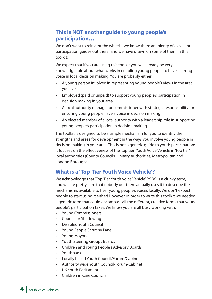#### **This is NOT another guide to young people's participation…**

We don't want to reinvent the wheel – we know there are plenty of excellent participation guides out there (and we have drawn on some of them in this toolkit).

We expect that if you are using this toolkit you will already be very knowledgeable about what works in enabling young people to have a strong voice in local decision making. You are probably either:

- A young person involved in representing young people's views in the area you live
- Employed (paid or unpaid) to support young people's participation in decision making in your area
- A local authority manager or commissioner with strategic responsibility for ensuring young people have a voice in decision making
- An elected member of a local authority with a leadership role in supporting young people's participation in decision making

The toolkit is designed to be a simple mechanism for you to identify the strengths and areas for development in the ways you involve young people in decision making in your area. This is not a generic guide to youth participation: it focuses on the effectiveness of the 'top tier' Youth Voice Vehicle in 'top tier' local authorities (County Councils, Unitary Authorities, Metropolitan and London Boroughs).

#### **What is a 'Top-Tier Youth Voice Vehicle'?**

We acknowledge that 'Top-Tier Youth Voice Vehicle' (YVV) is a clunky term, and we are pretty sure that nobody out there actually uses it to describe the mechanisms available to hear young people's voices locally. We don't expect people to start using it either! However, in order to write this toolkit we needed a generic term that could encompass all the different, creative forms that young people's participation takes. We know you are all busy working with:

- • Young Commissioners
- **Councillor Shadowing**
- • Disabled Youth Council
- Young People Scrutiny Panel
- • Young Mayors
- • Youth Steering Groups Boards
- Children and Young People's Advisory Boards
- • Youthbank
- Locally based Youth Council/Forum/Cabinet
- Authority wide Youth Council/Forum/Cabinet
- UK Youth Parliament
- Children in Care Councils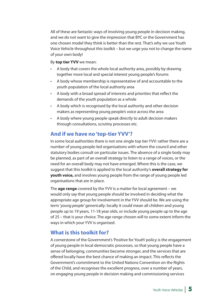All of these are fantastic ways of involving young people in decision making, and we do not want to give the impression that BYC or the Government has one chosen model they think is better than the rest. That's why we use Youth Voice Vehicle throughout this toolkit – but we urge you not to change the name of your own body!

#### By **top tier YVV** we mean:

- A body that covers the whole local authority area, possibly by drawing together more local and special interest young people's forums
- A body whose membership is representative of and accountable to the youth population of the local authority area
- • A body with a broad spread of interests and priorities that reflect the demands of the youth population as a whole
- A body which is recognised by the local authority and other decision makers as representing young people's voice across the area
- A body where young people speak directly to adult decision makers through consultations, scrutiny processes etc.

#### **And if we have no 'top-tier YVV'?**

In some local authorities there is not one single top tier YVV: rather there are a number of young people-led organisations with whom the council and other statutory bodies consult on particular issues. The absence of a single body may be planned, as part of an overall strategy to listen to a range of voices, or the need for an overall body may not have emerged. Where this is the case, we suggest that this toolkit is applied to the local authority's **overall strategy for youth voice,** and involves young people from the range of young people led organisations that are in place.

The **age range** covered by the YVV is a matter for local agreement – we would only say that young people should be involved in deciding what the appropriate age group for involvement in the YVV should be. We are using the term *'young people'* generically: locally it could mean all children and young people up to 19 years, 11-18 year olds, or include young people up to the age of 25 – that is your choice. The age range chosen will to some extent inform the ways in which your YVV is organised.

#### **What is this toolkit for?**

A cornerstone of the Government's 'Positive for Youth' policy is the engagement of young people in local democratic processes, so that young people have a sense of belonging, communities become stronger, and the services that are offered locally have the best chance of making an impact. This reflects the Government's commitment to the United Nations Convention on the Rights of the Child, and recognises the excellent progress, over a number of years, on engaging young people in decision making and commissioning services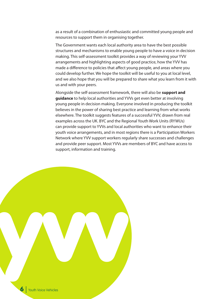as a result of a combination of enthusiastic and committed young people and resources to support them in organising together.

The Government wants each local authority area to have the best possible structures and mechanisms to enable young people to have a voice in decision making. This self-assessment toolkit provides a way of reviewing your YVV arrangements and highlighting aspects of good practice, how the YVV has made a difference to policies that affect young people, and areas where you could develop further. We hope the toolkit will be useful to you at local level, and we also hope that you will be prepared to share what you learn from it with us and with your peers.

Alongside the self-assessment framework, there will also be **support and guidance** to help local authorities and YVVs get even better at involving young people in decision making. Everyone involved in producing the toolkit believes in the power of sharing best practice and learning from what works elsewhere. The toolkit suggests features of a successful YVV, drawn from real examples across the UK. BYC and the Regional Youth Work Units (RYWUs) can provide support to YVVs and local authorities who want to enhance their youth voice arrangements, and in most regions there is a Participation Workers Network where YVV support workers regularly share successes and challenges and provide peer support. Most YVVs are members of BYC and have access to support, information and training.

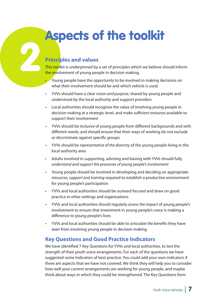## Aspects of the toolkit

#### **Principles and values**

2

This toolkit is underpinned by a set of principles which we believe should inform the involvement of young people in decision making.

- • Young people have the *opportunity* to be involved in making decisions on what their involvement should be and which vehicle is used.
- • YVVs should have a clear *vision and purpose,* shared by young people and understood by the local authority and support providers
- Local authorities should recognise the value of involving young people in decision making at a strategic level, and make *sufficient resources* available to support their involvement
- • YVVs should be *inclusive* of young people from different backgrounds and with different needs, and should ensure that their ways of working do not exclude or discriminate against specific groups
- • YVVs should be *representative of the diversity* of the young people living in the local authority area
- • Adults involved in supporting, advising and liaising with YVVs should fully *understand and support the processes of young people's involvement*
- Young people should be involved in developing and deciding on appropriate *resources, support and training* required to establish a productive environment for young people's participation
- • YVVs and local authorities should be *outward focused* and draw on good practice in other settings and organisations
- • YVVs and local authorities should regularly *assess the impact* of young people's involvement to ensure that investment in young people's voice is making a difference to young people's lives
- • YVVs and local authorities should be able to *articulate the benefits* they have seen from involving young people in decision making

#### **Key Questions and Good Practice Indicators**

We have identified 7 Key Questions for YVVs and local authorities, to test the strength of their youth voice arrangements. For each of the questions we have suggested some indicators of best practice. You could add your own indicators if there are aspects that we have not covered. We think they will help you to consider how well your current arrangements are working for young people, and maybe think about ways in which they could be strengthened. The Key Questions form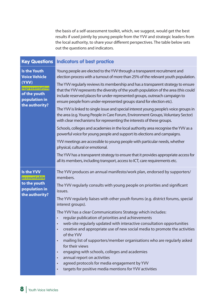the basis of a self-assessment toolkit, which, we suggest, would get the best results if used jointly by young people from the YVV and strategic leaders from the local authority, to share your different perspectives. The table below sets out the questions and indicators.

| <b>Key Questions</b>                                                       | <b>Indicators of best practice</b>                                                                                                                                                                                                                                                                                               |  |  |
|----------------------------------------------------------------------------|----------------------------------------------------------------------------------------------------------------------------------------------------------------------------------------------------------------------------------------------------------------------------------------------------------------------------------|--|--|
| <b>Is the Youth</b><br><b>Voice Vehicle</b>                                | Young people are elected to the YVV through a transparent recruitment and<br>election process with a turnout of more than 25% of the relevant youth population.                                                                                                                                                                  |  |  |
| (YVV)<br>representative<br>of the youth<br>population in<br>the authority? | The YVV regularly reviews its membership and has a transparent strategy to ensure<br>that the YVV represents the diversity of the youth population of the area (this could<br>include reserved places for under-represented groups, outreach campaign to<br>ensure people from under-represented groups stand for election etc). |  |  |
|                                                                            | The YVV is linked to single issue and special interest young people's voice groups in<br>the area (e.g. Young People in Care Forum, Environment Groups, Voluntary Sector)<br>with clear mechanisms for representing the interests of these groups.                                                                               |  |  |
|                                                                            | Schools, colleges and academies in the local authority area recognise the YVV as a<br>powerful voice for young people and support its elections and campaigns.                                                                                                                                                                   |  |  |
|                                                                            | YVV meetings are accessible to young people with particular needs, whether<br>physical, cultural or emotional.                                                                                                                                                                                                                   |  |  |
|                                                                            | The YVV has a transparent strategy to ensure that it provides appropriate access for<br>all its members, including transport, access to ICT, care requirements etc.                                                                                                                                                              |  |  |
| <b>Is the YVV</b><br>accountable                                           | The YVV produces an annual manifesto/work plan, endorsed by supporters/<br>members.                                                                                                                                                                                                                                              |  |  |
| to the youth<br>population in                                              | The YVV regularly consults with young people on priorities and significant<br>issues.                                                                                                                                                                                                                                            |  |  |
| the authority?                                                             | The YVV regularly liaises with other youth forums (e.g. district forums, special<br>interest groups).                                                                                                                                                                                                                            |  |  |
|                                                                            | The YVV has a clear Communications Strategy which includes:<br>regular publication of priorities and achievements<br>$\bullet$<br>web-site regularly updated with interactive consultation opportunities<br>$\bullet$<br>creative and appropriate use of new social media to promote the activities<br>$\bullet$                 |  |  |
|                                                                            | of the YVV<br>mailing list of supporters/member organisations who are regularly asked<br>$\bullet$<br>for their views                                                                                                                                                                                                            |  |  |
|                                                                            | engaging with schools, colleges and academies<br>$\bullet$<br>annual report on activities<br>$\bullet$                                                                                                                                                                                                                           |  |  |
|                                                                            | agreed protocols for media engagement by YVV<br>$\bullet$<br>targets for positive media mentions for YVV activities                                                                                                                                                                                                              |  |  |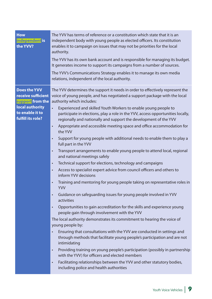| <b>How</b><br>independent is<br>the YVV?                                                                                 | The YVV has terms of reference or a constitution which state that it is an<br>independent body with young people as elected officers. Its constitution<br>enables it to campaign on issues that may not be priorities for the local<br>authority.<br>The YVV has its own bank account and is responsible for managing its budget.<br>It generates income to support its campaigns from a number of sources.<br>The YVV's Communications Strategy enables it to manage its own media<br>relations, independent of the local authority.                                                                                                                                                                                                                                                                                                                                                                                                                                                                                                                                                                                                                                                                                                                                                                                                                                                                                                                                                                                                                                                                                                                                                                                               |
|--------------------------------------------------------------------------------------------------------------------------|-------------------------------------------------------------------------------------------------------------------------------------------------------------------------------------------------------------------------------------------------------------------------------------------------------------------------------------------------------------------------------------------------------------------------------------------------------------------------------------------------------------------------------------------------------------------------------------------------------------------------------------------------------------------------------------------------------------------------------------------------------------------------------------------------------------------------------------------------------------------------------------------------------------------------------------------------------------------------------------------------------------------------------------------------------------------------------------------------------------------------------------------------------------------------------------------------------------------------------------------------------------------------------------------------------------------------------------------------------------------------------------------------------------------------------------------------------------------------------------------------------------------------------------------------------------------------------------------------------------------------------------------------------------------------------------------------------------------------------------|
| <b>Does the YVV</b><br>receive sufficient<br>support from the<br>local authority<br>to enable it to<br>fulfill its role? | The YVV determines the support it needs in order to effectively represent the<br>voice of young people, and has negotiated a support package with the local<br>authority which includes:<br>Experienced and skilled Youth Workers to enable young people to<br>$\bullet$<br>participate in elections, play a role in the YVV, access opportunities locally,<br>regionally and nationally and support the development of the YVV<br>Appropriate and accessible meeting space and office accommodation for<br>$\bullet$<br>the YVV<br>Support for young people with additional needs to enable them to play a<br>$\bullet$<br>full part in the YVV<br>Transport arrangements to enable young people to attend local, regional<br>$\bullet$<br>and national meetings safely<br>Technical support for elections, technology and campaigns<br>$\bullet$<br>Access to specialist expert advice from council officers and others to<br>$\bullet$<br>inform YVV decisions<br>Training and mentoring for young people taking on representative roles in<br><b>YVV</b><br>Guidance on safeguarding issues for young people involved in YVV<br>$\bullet$<br>activities<br>Opportunities to gain accreditation for the skills and experience young<br>$\bullet$<br>people gain through involvement with the YVV<br>The local authority demonstrates its commitment to hearing the voice of<br>young people by:<br>Ensuring that consultations with the YVV are conducted in settings and<br>$\bullet$<br>through methods that facilitate young people's participation and are not<br>intimidating<br>Providing training on young people's participation (possibly in partnership<br>$\bullet$<br>with the YVV) for officers and elected members |
|                                                                                                                          | Facilitating relationships between the YVV and other statutory bodies,<br>$\bullet$<br>including police and health authorities                                                                                                                                                                                                                                                                                                                                                                                                                                                                                                                                                                                                                                                                                                                                                                                                                                                                                                                                                                                                                                                                                                                                                                                                                                                                                                                                                                                                                                                                                                                                                                                                      |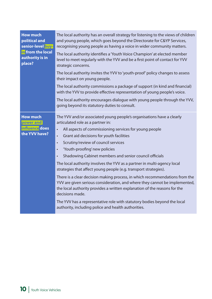| <b>How much</b><br>political and<br>senior-level buy-<br><b>in</b> from the local<br>authority is in<br>place? | The local authority has an overall strategy for listening to the views of children<br>and young people, which goes beyond the Directorate for C&YP Services,<br>recognising young people as having a voice in wider community matters.<br>The local authority identifies a 'Youth Voice Champion' at elected member<br>level to meet regularly with the YVV and be a first point of contact for YVV<br>strategic concerns.<br>The local authority invites the YVV to 'youth-proof' policy changes to assess<br>their impact on young people.<br>The local authority commissions a package of support (in kind and financial)<br>with the YVV to provide effective representation of young people's voice.<br>The local authority encourages dialogue with young people through the YVV,<br>going beyond its statutory duties to consult.                                                                                                                           |
|----------------------------------------------------------------------------------------------------------------|--------------------------------------------------------------------------------------------------------------------------------------------------------------------------------------------------------------------------------------------------------------------------------------------------------------------------------------------------------------------------------------------------------------------------------------------------------------------------------------------------------------------------------------------------------------------------------------------------------------------------------------------------------------------------------------------------------------------------------------------------------------------------------------------------------------------------------------------------------------------------------------------------------------------------------------------------------------------|
| <b>How much</b><br>power and<br>influence does<br>the YVV have?                                                | The YVV and/or associated young people's organisations have a clearly<br>articulated role as a partner in:<br>All aspects of commissioning services for young people<br>$\bullet$<br>Grant aid decisions for youth facilities<br>$\bullet$<br>Scrutiny/review of council services<br>$\bullet$<br>'Youth-proofing' new policies<br>$\bullet$<br>Shadowing Cabinet members and senior council officials<br>$\bullet$<br>The local authority involves the YVV as a partner in multi-agency local<br>strategies that affect young people (e.g. transport strategies).<br>There is a clear decision making process, in which recommendations from the<br>YVV are given serious consideration, and where they cannot be implemented,<br>the local authority provides a written explanation of the reasons for the<br>decisions made.<br>The YVV has a representative role with statutory bodies beyond the local<br>authority, including police and health authorities. |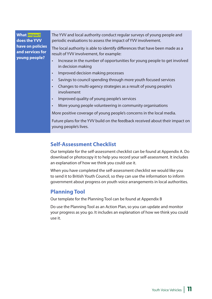#### **What impact does the YVV have on policies and services for young people?**

The YVV and local authority conduct regular surveys of young people and periodic evaluations to assess the impact of YVV involvement.

The local authority is able to identify differences that have been made as a result of YVV involvement, for example:

- Increase in the number of opportunities for young people to get involved in decision making
- • Improved decision making processes
- Savings to council spending through more youth focused services
- Changes to multi-agency strategies as a result of young people's involvement
- Improved quality of young people's services
- More young people volunteering in community organisations

More positive coverage of young people's concerns in the local media.

Future plans for the YVV build on the feedback received about their impact on young people's lives.

#### **Self-Assessment Checklist**

Our template for the self-assessment checklist can be found at Appendix A. Do download or photocopy it to help you record your self-assessment. It includes an explanation of how we think you could use it.

When you have completed the self-assessment checklist we would like you to send it to British Youth Council, so they can use the information to inform government about progress on youth voice arrangements in local authorities.

#### **Planning Tool**

Our template for the Planning Tool can be found at Appendix B

Do use the Planning Tool as an Action Plan, so you can update and monitor your progress as you go. It includes an explanation of how we think you could use it.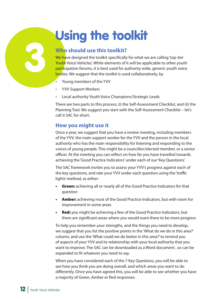## Using the toolkit

#### **Who should use this toolkit?**

We have designed the toolkit specifically for what we are calling 'top-tier Youth Voice Vehicles'. While elements of it will be applicable to other youth participation forums, it is best used for authority wide, generic youth voice bodies. We suggest that the toolkit is used collaboratively, by

- Young members of the YVV
- YVV Support Workers

3

Local authority Youth Voice Champions/Strategic Leads

There are two parts to this process: (i) the Self-Assessment Checklist, and (ii) the Planning Tool. We suggest you start with the Self-Assessment Checklist – let's call it SAC for short.

#### **How you might use it**

Once a year, we suggest that you have a review meeting, including members of the YVV, the main support worker for the YVV and the person in the local authority who has the main responsibility for listening and responding to the voices of young people. This might be a councillor/elected member, or a senior officer. At the meeting you can reflect on how far you have travelled towards achieving the 'Good Practice Indicators' under each of our 'Key Questions'.

The SAC framework invites you to assess your YVV's progress against each of the key questions, and rate your YVV under each question using the 'traffic lights' method, as either:

- **Green:** achieving all or nearly all of the Good Practice Indicators for that question
- Amber: achieving most of the Good Practice Indicators, but with room for improvement in some areas
- **Red:** you might be achieving a few of the Good Practice Indicators, but there are significant areas where you would want there to be more progress

To help you remember your strengths, and the things you need to develop, we suggest that you list the positive points in the 'What do we do in this area?' column, and use the 'What could we do better in this area?' to remind you of aspects of your YVV and its relationship with your local authority that you want to improve. The SAC can be downloaded as a Word document , so can be expanded to fit whatever you need to say.

When you have considered each of the 7 Key Questions, you will be able to see how you think you are doing overall, and which areas you want to do differently. Once you have agreed this, you will be able to see whether you have a majority of Green, Amber or Red responses.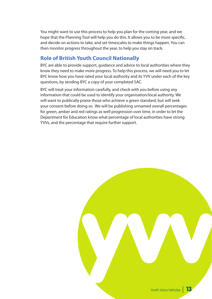You might want to use this process to help you plan for the coming year, and we hope that the Planning Tool will help you do this. It allows you to be more specific, and decide on actions to take, and set timescales to make things happen. You can then monitor progress throughout the year, to help you stay on track.

#### **Role of British Youth Council Nationally**

BYC are able to provide support, guidance and advice to local authorities where they know they need to make more progress. To help this process, we will need you to let BYC know how you have rated your local authority and its YVV under each of the key questions, by sending BYC a copy of your completed SAC.

BYC will treat your information carefully, and check with you before using any information that could be used to identify your organisation/local authority. We will want to publically praise those who achieve a green standard, but will seek your consent before doing so. We will be publishing unnamed overall percentages for green, amber and red ratings as well progression over time, in order to let the Department for Education know what percentage of local authorities have strong YVVs, and the percentage that require further support.

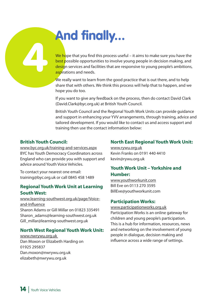## And finally...

We hope that you find this process useful – it aims to make sure you have the best possible opportunities to involve young people in decision making, and design services and facilities that are responsive to young people's ambitions, aspirations and needs.

We really want to learn from the good practice that is out there, and to help share that with others. We think this process will help that to happen, and we hope you do too.

If you want to give any feedback on the process, then do contact David Clark (David.Clark@byc.org.uk) at British Youth Council.

British Youth Council and the Regional Youth Work Units can provide guidance and support in enhancing your YVV arrangements, through training, advice and tailored development. If you would like to contact us and access support and training then use the contact information below:

#### **British Youth Council:**

4

www.byc.org.uk/training-and-services.aspx BYC has Youth Democracy Coordinators across England who can provide you with support and advice around Youth Voice Vehicles.

To contact your nearest one email: training@byc.org.uk or call 0845 458 1489

#### **Regional Youth Work Unit at Learning South West:**

www.learning-southwest.org.uk/page/Voiceand-Influence

Sharon Adams or Gill Millar on 01823 335491 Sharon\_adams@learning-southwest.org.uk Gill\_millar@learning-southwest.org.uk

#### **North West Regional Youth Work Unit:**

www.nwrywu.org.uk Dan Moxon or Elizabeth Harding on 01925 295837 Dan.moxon@nwrywu.org.uk elizabeth@nwrywu.org.uk

#### **North East Regional Youth Work Unit:**

www.rywu.org.uk Kevin Franks on 0191 440 4410 kevin@rywu.org.uk

#### **Youth Work Unit – Yorkshire and Humber:**

www.youthworkunit.com Bill Eve on 0113 270 3595 BillEve@youthworkunit.com

#### **Participation Works:**

www.participationworks.org.uk Participation Works is an online gateway for children and young people's participation. This is a hub for information, resources, news and networking on the involvement of young people in dialogue, decision making and influence across a wide range of settings.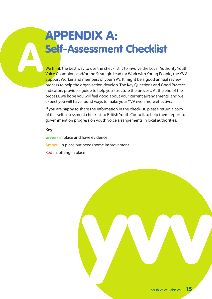### APPENDIX A: Self-Assessment Checklist

We think the best way to use the checklist is to involve the Local Authority Youth Voice Champion, and/or the Strategic Lead for Work with Young People, the YVV Support Worker and members of your YVV. It might be a good annual review process to help the organisation develop. The Key Questions and Good Practice Indicators provide a guide to help you structure the process. At the end of the process, we hope you will feel good about your current arrangements, and we expect you will have found ways to make your YVV even more effective.

If you are happy to share the information in the checklist, please return a copy of this self-assessment checklist to British Youth Council, to help them report to government on progress on youth voice arrangements in local authorities.

#### **Key:**

A

Green - in place and have evidence Amber - in place but needs some improvement Red – nothing in place

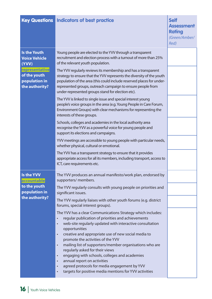|                                                                   | <b>Key Questions Indicators of best practice</b>                                                                                                                                                                                                                                                                                                      | <b>Self</b><br><b>Assessment</b><br><b>Rating</b><br>(Green/Amber/<br>Red) |
|-------------------------------------------------------------------|-------------------------------------------------------------------------------------------------------------------------------------------------------------------------------------------------------------------------------------------------------------------------------------------------------------------------------------------------------|----------------------------------------------------------------------------|
| <b>Is the Youth</b><br><b>Voice Vehicle</b><br>(YVV)              | Young people are elected to the YVV through a transparent<br>recruitment and election process with a turnout of more than 25%<br>of the relevant youth population.                                                                                                                                                                                    |                                                                            |
| representative<br>of the youth<br>population in<br>the authority? | The YVV regularly reviews its membership and has a transparent<br>strategy to ensure that the YVV represents the diversity of the youth<br>population of the area (this could include reserved places for under-<br>represented groups, outreach campaign to ensure people from<br>under-represented groups stand for election etc).                  |                                                                            |
|                                                                   | The YVV is linked to single issue and special interest young<br>people's voice groups in the area (e.g. Young People in Care Forum,<br>Environment Groups) with clear mechanisms for representing the<br>interests of these groups.                                                                                                                   |                                                                            |
|                                                                   | Schools, colleges and academies in the local authority area<br>recognise the YVV as a powerful voice for young people and<br>support its elections and campaigns.                                                                                                                                                                                     |                                                                            |
|                                                                   | YVV meetings are accessible to young people with particular needs,<br>whether physical, cultural or emotional.                                                                                                                                                                                                                                        |                                                                            |
|                                                                   | The YVV has a transparent strategy to ensure that it provides<br>appropriate access for all its members, including transport, access to<br>ICT, care requirements etc.                                                                                                                                                                                |                                                                            |
| <b>Is the YVV</b><br>accountable                                  | The YVV produces an annual manifesto/work plan, endorsed by<br>supporters/ members.                                                                                                                                                                                                                                                                   |                                                                            |
| to the youth<br>population in                                     | The YVV regularly consults with young people on priorities and<br>significant issues.                                                                                                                                                                                                                                                                 |                                                                            |
| the authority?                                                    | The YVV regularly liaises with other youth forums (e.g. district<br>forums, special interest groups).                                                                                                                                                                                                                                                 |                                                                            |
|                                                                   | The YVV has a clear Communications Strategy which includes:<br>regular publication of priorities and achievements<br>$\bullet$<br>web-site regularly updated with interactive consultation<br>$\bullet$<br>opportunities<br>creative and appropriate use of new social media to<br>$\bullet$<br>promote the activities of the YVV                     |                                                                            |
|                                                                   | mailing list of supporters/member organisations who are<br>$\bullet$<br>regularly asked for their views<br>engaging with schools, colleges and academies<br>$\bullet$<br>annual report on activities<br>$\bullet$<br>agreed protocols for media engagement by YVV<br>$\bullet$<br>targets for positive media mentions for YVV activities<br>$\bullet$ |                                                                            |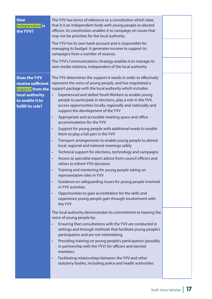| <b>How</b><br>independent is<br>the YVV?                                                                                 | The YVV has terms of reference or a constitution which state<br>that it is an independent body with young people as elected<br>officers. Its constitution enables it to campaign on issues that<br>may not be priorities for the local authority.<br>The YVV has its own bank account and is responsible for<br>managing its budget. It generates income to support its<br>campaigns from a number of sources.<br>The YVV's Communications Strategy enables it to manage its<br>own media relations, independent of the local authority.                                                                                                                                                                                                                                                                                                                                                                                                                                                                                                                                                                                                                                                                                                                                                                                                                                                                                                                                                                                                                                                                                                                                                                                                                                                                                         |  |
|--------------------------------------------------------------------------------------------------------------------------|----------------------------------------------------------------------------------------------------------------------------------------------------------------------------------------------------------------------------------------------------------------------------------------------------------------------------------------------------------------------------------------------------------------------------------------------------------------------------------------------------------------------------------------------------------------------------------------------------------------------------------------------------------------------------------------------------------------------------------------------------------------------------------------------------------------------------------------------------------------------------------------------------------------------------------------------------------------------------------------------------------------------------------------------------------------------------------------------------------------------------------------------------------------------------------------------------------------------------------------------------------------------------------------------------------------------------------------------------------------------------------------------------------------------------------------------------------------------------------------------------------------------------------------------------------------------------------------------------------------------------------------------------------------------------------------------------------------------------------------------------------------------------------------------------------------------------------|--|
| <b>Does the YVV</b><br>receive sufficient<br>support from the<br>local authority<br>to enable it to<br>fulfill its role? | The YVV determines the support it needs in order to effectively<br>represent the voice of young people, and has negotiated a<br>support package with the local authority which includes:<br>Experienced and skilled Youth Workers to enable young<br>people to participate in elections, play a role in the YVV,<br>access opportunities locally, regionally and nationally and<br>support the development of the YVV<br>Appropriate and accessible meeting space and office<br>$\bullet$<br>accommodation for the YVV<br>Support for young people with additional needs to enable<br>them to play a full part in the YVV<br>Transport arrangements to enable young people to attend<br>$\bullet$<br>local, regional and national meetings safely<br>Technical support for elections, technology and campaigns<br>$\bullet$<br>Access to specialist expert advice from council officers and<br>others to inform YVV decisions<br>Training and mentoring for young people taking on<br>representative roles in YVV<br>Guidance on safeguarding issues for young people involved<br>$\bullet$<br>in YVV activities<br>Opportunities to gain accreditation for the skills and<br>$\bullet$<br>experience young people gain through involvement with<br>the YVV<br>The local authority demonstrates its commitment to hearing the<br>voice of young people by:<br>Ensuring that consultations with the YVV are conducted in<br>$\bullet$<br>settings and through methods that facilitate young people's<br>participation and are not intimidating<br>Providing training on young people's participation (possibly<br>$\bullet$<br>in partnership with the YVV) for officers and elected<br>members<br>Facilitating relationships between the YVV and other<br>$\bullet$<br>statutory bodies, including police and health authorities |  |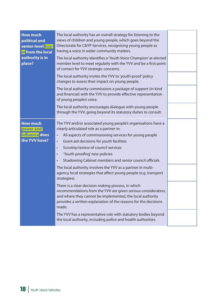| <b>How much</b><br>political and<br>senior-level buy-<br>in from the local | The local authority has an overall strategy for listening to the<br>views of children and young people, which goes beyond the<br>Directorate for C&YP Services, recognising young people as<br>having a voice in wider community matters.                    |  |
|----------------------------------------------------------------------------|--------------------------------------------------------------------------------------------------------------------------------------------------------------------------------------------------------------------------------------------------------------|--|
| authority is in<br>place?                                                  | The local authority identifies a 'Youth Voice Champion' at elected<br>member level to meet regularly with the YVV and be a first point<br>of contact for YVV strategic concerns.                                                                             |  |
|                                                                            | The local authority invites the YVV to 'youth-proof' policy<br>changes to assess their impact on young people.                                                                                                                                               |  |
|                                                                            | The local authority commissions a package of support (in kind<br>and financial) with the YVV to provide effective representation<br>of young people's voice.                                                                                                 |  |
|                                                                            | The local authority encourages dialogue with young people<br>through the YVV, going beyond its statutory duties to consult.                                                                                                                                  |  |
| <b>How much</b><br>power and                                               | The YVV and/or associated young people's organisations have a<br>clearly articulated role as a partner in:                                                                                                                                                   |  |
| influence does                                                             | All aspects of commissioning services for young people                                                                                                                                                                                                       |  |
| the YVV have?                                                              | Grant aid decisions for youth facilities<br>$\bullet$                                                                                                                                                                                                        |  |
|                                                                            | Scrutiny/review of council services<br>$\bullet$                                                                                                                                                                                                             |  |
|                                                                            | 'Youth-proofing' new policies                                                                                                                                                                                                                                |  |
|                                                                            | Shadowing Cabinet members and senior council officials                                                                                                                                                                                                       |  |
|                                                                            | The local authority involves the YVV as a partner in multi-<br>agency local strategies that affect young people (e.g. transport<br>strategies).                                                                                                              |  |
|                                                                            | There is a clear decision making process, in which<br>recommendations from the YVV are given serious consideration,<br>and where they cannot be implemented, the local authority<br>provides a written explanation of the reasons for the decisions<br>made. |  |
|                                                                            | The YVV has a representative role with statutory bodies beyond<br>the local authority, including police and health authorities.                                                                                                                              |  |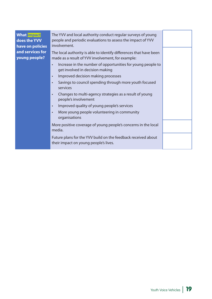| What <b>impact</b><br>does the YVV<br>have on policies | The YVV and local authority conduct regular surveys of young<br>people and periodic evaluations to assess the impact of YVV<br>involvement. |  |
|--------------------------------------------------------|---------------------------------------------------------------------------------------------------------------------------------------------|--|
| and services for<br>young people?                      | The local authority is able to identify differences that have been<br>made as a result of YVV involvement, for example:                     |  |
|                                                        | Increase in the number of opportunities for young people to<br>$\bullet$<br>get involved in decision making                                 |  |
|                                                        | Improved decision making processes<br>$\bullet$                                                                                             |  |
|                                                        | Savings to council spending through more youth focused<br>$\bullet$<br>services                                                             |  |
|                                                        | Changes to multi-agency strategies as a result of young<br>$\bullet$<br>people's involvement                                                |  |
|                                                        | Improved quality of young people's services<br>$\bullet$                                                                                    |  |
|                                                        | More young people volunteering in community<br>$\bullet$<br>organisations                                                                   |  |
|                                                        | More positive coverage of young people's concerns in the local<br>media.                                                                    |  |
|                                                        | Future plans for the YVV build on the feedback received about<br>their impact on young people's lives.                                      |  |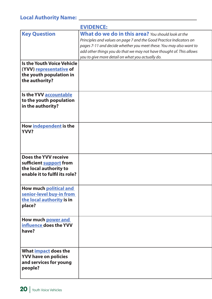#### **Local Authority Name:**

|                                                                                                            | <b>EVIDENCE:</b>                                                                                                                                                                                                                                                                                                            |
|------------------------------------------------------------------------------------------------------------|-----------------------------------------------------------------------------------------------------------------------------------------------------------------------------------------------------------------------------------------------------------------------------------------------------------------------------|
| <b>Key Question</b>                                                                                        | What do we do in this area? You should look at the<br>Principles and values on page 7 and the Good Practice Indicators on<br>pages 7-11 and decide whether you meet these. You may also want to<br>add other things you do that we may not have thought of. This allows<br>you to give more detail on what you actually do. |
| <b>Is the Youth Voice Vehicle</b><br>(YVV) representative of<br>the youth population in<br>the authority?  |                                                                                                                                                                                                                                                                                                                             |
| Is the YVV accountable<br>to the youth population<br>in the authority?                                     |                                                                                                                                                                                                                                                                                                                             |
| How independent is the<br><b>YVV?</b>                                                                      |                                                                                                                                                                                                                                                                                                                             |
| Does the YVV receive<br>sufficient support from<br>the local authority to<br>enable it to fulfil its role? |                                                                                                                                                                                                                                                                                                                             |
| How much political and<br>senior-level buy-in from<br>the local authority is in<br>place?                  |                                                                                                                                                                                                                                                                                                                             |
| How much power and<br>influence does the YVV<br>have?                                                      |                                                                                                                                                                                                                                                                                                                             |
| What <i>impact</i> does the<br><b>YVV have on policies</b><br>and services for young<br>people?            |                                                                                                                                                                                                                                                                                                                             |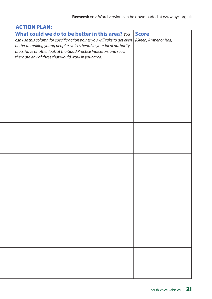| <b>ACTION PLAN:</b>                                                                                                                                                                                                                                                                                                               |                                       |
|-----------------------------------------------------------------------------------------------------------------------------------------------------------------------------------------------------------------------------------------------------------------------------------------------------------------------------------|---------------------------------------|
| What could we do to be better in this area? You<br>can use this column for specific action points you will take to get even<br>better at making young people's voices heard in your local authority<br>area. Have another look at the Good Practice Indicators and see if<br>there are any of these that would work in your area. | <b>Score</b><br>(Green, Amber or Red) |
|                                                                                                                                                                                                                                                                                                                                   |                                       |
|                                                                                                                                                                                                                                                                                                                                   |                                       |
|                                                                                                                                                                                                                                                                                                                                   |                                       |
|                                                                                                                                                                                                                                                                                                                                   |                                       |
|                                                                                                                                                                                                                                                                                                                                   |                                       |
|                                                                                                                                                                                                                                                                                                                                   |                                       |
|                                                                                                                                                                                                                                                                                                                                   |                                       |
|                                                                                                                                                                                                                                                                                                                                   |                                       |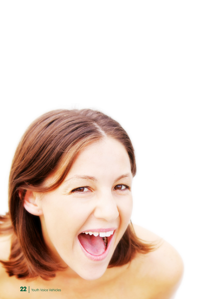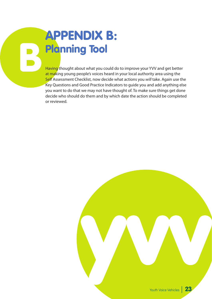## APPENDIX B: Planning Tool

B

Having thought about what you could do to improve your YVV and get better at making young people's voices heard in your local authority area using the Self Assessment Checklist, now decide what actions you *will* take. Again use the Key Questions and Good Practice Indicators to guide you and add anything else you want to do that we may not have thought of. To make sure things get done decide who should do them and by which date the action should be completed or reviewed.

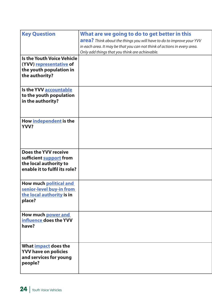| <b>Key Question</b>           | What are we going to do to get better in this                               |
|-------------------------------|-----------------------------------------------------------------------------|
|                               | <b>area?</b> Think about the things you will have to do to improve your YVV |
|                               | in each area. It may be that you can not think of actions in every area.    |
|                               | Only add things that you think are achievable.                              |
| Is the Youth Voice Vehicle    |                                                                             |
|                               |                                                                             |
| (YVV) representative of       |                                                                             |
| the youth population in       |                                                                             |
| the authority?                |                                                                             |
|                               |                                                                             |
| Is the YVV accountable        |                                                                             |
| to the youth population       |                                                                             |
| in the authority?             |                                                                             |
|                               |                                                                             |
|                               |                                                                             |
|                               |                                                                             |
| How independent is the        |                                                                             |
| <b>YVV?</b>                   |                                                                             |
|                               |                                                                             |
|                               |                                                                             |
|                               |                                                                             |
|                               |                                                                             |
| <b>Does the YVV receive</b>   |                                                                             |
| sufficient support from       |                                                                             |
| the local authority to        |                                                                             |
| enable it to fulfil its role? |                                                                             |
|                               |                                                                             |
| How much political and        |                                                                             |
| senior-level buy-in from      |                                                                             |
| the local authority is in     |                                                                             |
| place?                        |                                                                             |
|                               |                                                                             |
|                               |                                                                             |
| How much power and            |                                                                             |
| influence does the YVV        |                                                                             |
| have?                         |                                                                             |
|                               |                                                                             |
|                               |                                                                             |
|                               |                                                                             |
| What <i>impact</i> does the   |                                                                             |
| <b>YVV have on policies</b>   |                                                                             |
| and services for young        |                                                                             |
| people?                       |                                                                             |
|                               |                                                                             |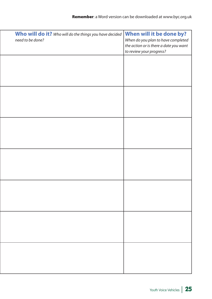| Who will do it? Who will do the things you have decided | When will it be done by?               |
|---------------------------------------------------------|----------------------------------------|
| need to be done?                                        | When do you plan to have completed     |
|                                                         | the action or is there a date you want |
|                                                         | to review your progress?               |
|                                                         |                                        |
|                                                         |                                        |
|                                                         |                                        |
|                                                         |                                        |
|                                                         |                                        |
|                                                         |                                        |
|                                                         |                                        |
|                                                         |                                        |
|                                                         |                                        |
|                                                         |                                        |
|                                                         |                                        |
|                                                         |                                        |
|                                                         |                                        |
|                                                         |                                        |
|                                                         |                                        |
|                                                         |                                        |
|                                                         |                                        |
|                                                         |                                        |
|                                                         |                                        |
|                                                         |                                        |
|                                                         |                                        |
|                                                         |                                        |
|                                                         |                                        |
|                                                         |                                        |
|                                                         |                                        |
|                                                         |                                        |
|                                                         |                                        |
|                                                         |                                        |
|                                                         |                                        |
|                                                         |                                        |
|                                                         |                                        |
|                                                         |                                        |
|                                                         |                                        |
|                                                         |                                        |
|                                                         |                                        |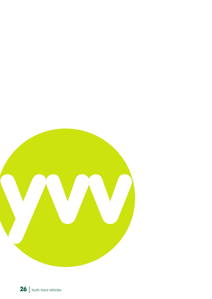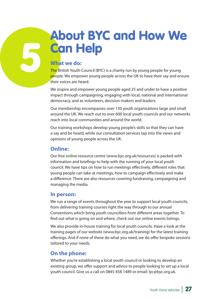## About BYC and How We Can Help

#### **What we do:**

5

The British Youth Council (BYC) is a charity run by young people for young people. We empower young people across the UK to have their say and ensure their voices are heard.

We inspire and empower young people aged 25 and under to have a positive impact through campaigning, engaging with local, national and international democracy, and as volunteers, decision-makers and leaders.

Our membership encompasses over 130 youth organisations large and small around the UK. We reach out to over 600 local youth councils and our networks reach into local communities and around the world.

Our training workshops develop young people's skills so that they can have a say and be heard, while our consultation services tap into the views and opinions of young people across the UK.

#### **Online:**

Our free online resource centre (www.byc.org.uk/resources) is packed with information and briefings to help with the running of your local youth council. We have tips on how to run meetings effectively, different roles that young people can take at meetings, how to campaign effectively and make a difference. There are also resources covering fundraising, campaigning and managing the media.

#### **In person:**

We run a range of events throughout the year to support local youth councils, from delivering training courses right the way through to our annual Conventions which bring youth councillors from different areas together. To find out what is going on and where, check out our online events listings.

We also provide in-house training for local youth councils. Have a look at the training pages of our website (www.byc.org.uk/training) for the latest training offerings. And if none of these do what you need, we do offer bespoke sessions tailored to your needs.

#### **On the phone:**

Whether you're establishing a local youth council or looking to develop an existing group, we offer support and advice to people looking to set up a local youth council. Give us a call on 0845 458 1489 or email: lyc@byc.org.uk.